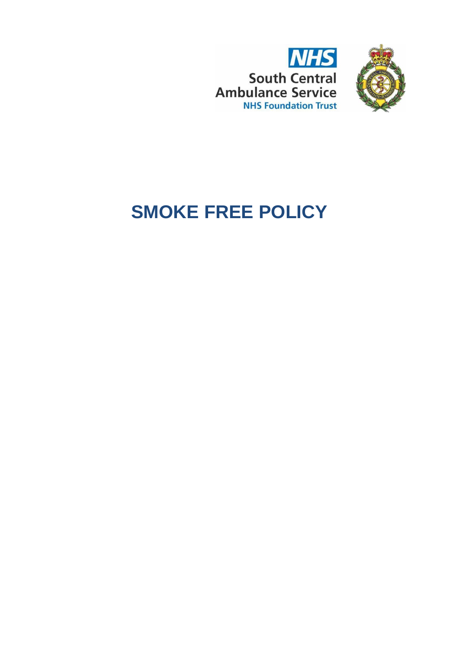



# **SMOKE FREE POLICY**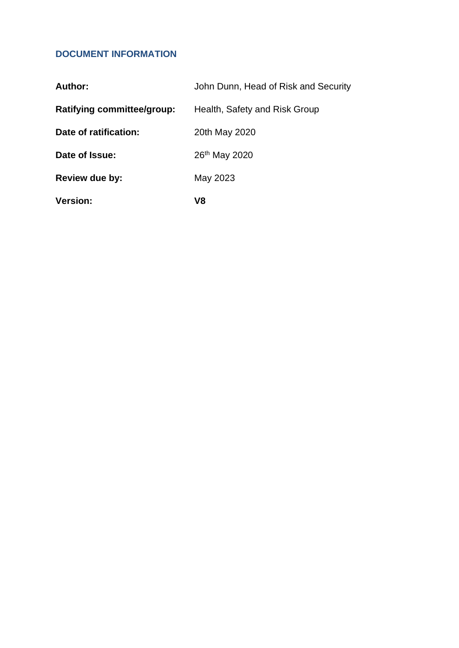# <span id="page-1-0"></span>**DOCUMENT INFORMATION**

| <b>Version:</b>                   | V8                                   |
|-----------------------------------|--------------------------------------|
| Review due by:                    | May 2023                             |
| Date of Issue:                    | 26 <sup>th</sup> May 2020            |
| Date of ratification:             | 20th May 2020                        |
| <b>Ratifying committee/group:</b> | Health, Safety and Risk Group        |
| Author:                           | John Dunn, Head of Risk and Security |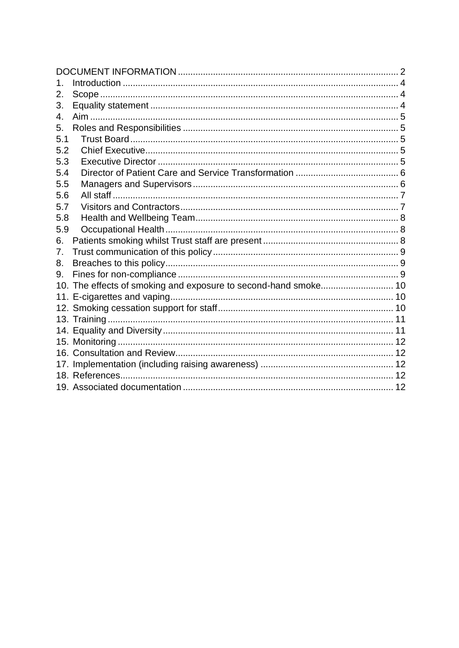| 1.  |  |
|-----|--|
| 2.  |  |
| 3.  |  |
| 4.  |  |
| 5.  |  |
| 5.1 |  |
| 5.2 |  |
| 5.3 |  |
| 5.4 |  |
| 5.5 |  |
| 5.6 |  |
| 5.7 |  |
| 5.8 |  |
| 5.9 |  |
| 6.  |  |
| 7.  |  |
| 8.  |  |
| 9.  |  |
|     |  |
|     |  |
|     |  |
|     |  |
|     |  |
|     |  |
|     |  |
|     |  |
|     |  |
|     |  |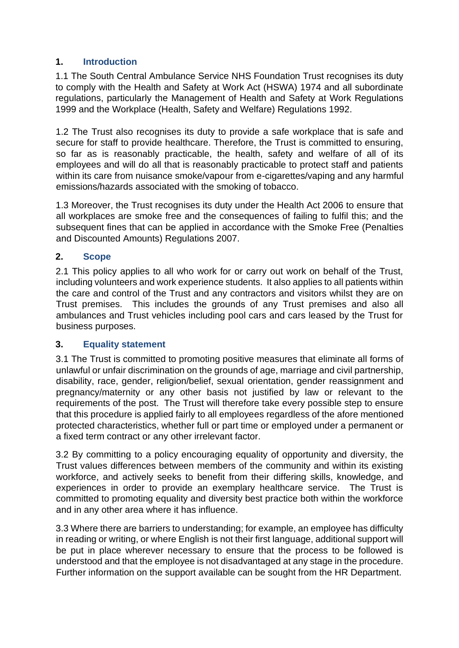# <span id="page-3-0"></span>**1. Introduction**

1.1 The South Central Ambulance Service NHS Foundation Trust recognises its duty to comply with the Health and Safety at Work Act (HSWA) 1974 and all subordinate regulations, particularly the Management of Health and Safety at Work Regulations 1999 and the Workplace (Health, Safety and Welfare) Regulations 1992.

1.2 The Trust also recognises its duty to provide a safe workplace that is safe and secure for staff to provide healthcare. Therefore, the Trust is committed to ensuring, so far as is reasonably practicable, the health, safety and welfare of all of its employees and will do all that is reasonably practicable to protect staff and patients within its care from nuisance smoke/vapour from e-cigarettes/vaping and any harmful emissions/hazards associated with the smoking of tobacco.

1.3 Moreover, the Trust recognises its duty under the Health Act 2006 to ensure that all workplaces are smoke free and the consequences of failing to fulfil this; and the subsequent fines that can be applied in accordance with the Smoke Free (Penalties and Discounted Amounts) Regulations 2007.

# <span id="page-3-1"></span>**2. Scope**

2.1 This policy applies to all who work for or carry out work on behalf of the Trust, including volunteers and work experience students. It also applies to all patients within the care and control of the Trust and any contractors and visitors whilst they are on Trust premises. This includes the grounds of any Trust premises and also all ambulances and Trust vehicles including pool cars and cars leased by the Trust for business purposes.

#### <span id="page-3-2"></span>**3. Equality statement**

3.1 The Trust is committed to promoting positive measures that eliminate all forms of unlawful or unfair discrimination on the grounds of age, marriage and civil partnership, disability, race, gender, religion/belief, sexual orientation, gender reassignment and pregnancy/maternity or any other basis not justified by law or relevant to the requirements of the post. The Trust will therefore take every possible step to ensure that this procedure is applied fairly to all employees regardless of the afore mentioned protected characteristics, whether full or part time or employed under a permanent or a fixed term contract or any other irrelevant factor.

3.2 By committing to a policy encouraging equality of opportunity and diversity, the Trust values differences between members of the community and within its existing workforce, and actively seeks to benefit from their differing skills, knowledge, and experiences in order to provide an exemplary healthcare service. The Trust is committed to promoting equality and diversity best practice both within the workforce and in any other area where it has influence.

3.3 Where there are barriers to understanding; for example, an employee has difficulty in reading or writing, or where English is not their first language, additional support will be put in place wherever necessary to ensure that the process to be followed is understood and that the employee is not disadvantaged at any stage in the procedure. Further information on the support available can be sought from the HR Department.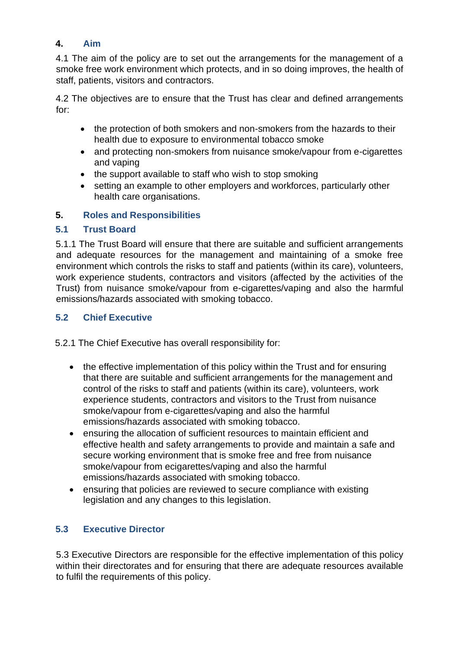# <span id="page-4-0"></span>**4. Aim**

4.1 The aim of the policy are to set out the arrangements for the management of a smoke free work environment which protects, and in so doing improves, the health of staff, patients, visitors and contractors.

4.2 The objectives are to ensure that the Trust has clear and defined arrangements for:

- the protection of both smokers and non-smokers from the hazards to their health due to exposure to environmental tobacco smoke
- and protecting non-smokers from nuisance smoke/vapour from e-cigarettes and vaping
- the support available to staff who wish to stop smoking
- setting an example to other employers and workforces, particularly other health care organisations.

# <span id="page-4-1"></span>**5. Roles and Responsibilities**

# <span id="page-4-2"></span>**5.1 Trust Board**

5.1.1 The Trust Board will ensure that there are suitable and sufficient arrangements and adequate resources for the management and maintaining of a smoke free environment which controls the risks to staff and patients (within its care), volunteers, work experience students, contractors and visitors (affected by the activities of the Trust) from nuisance smoke/vapour from e-cigarettes/vaping and also the harmful emissions/hazards associated with smoking tobacco.

# <span id="page-4-3"></span>**5.2 Chief Executive**

5.2.1 The Chief Executive has overall responsibility for:

- the effective implementation of this policy within the Trust and for ensuring that there are suitable and sufficient arrangements for the management and control of the risks to staff and patients (within its care), volunteers, work experience students, contractors and visitors to the Trust from nuisance smoke/vapour from e-cigarettes/vaping and also the harmful emissions/hazards associated with smoking tobacco.
- ensuring the allocation of sufficient resources to maintain efficient and effective health and safety arrangements to provide and maintain a safe and secure working environment that is smoke free and free from nuisance smoke/vapour from ecigarettes/vaping and also the harmful emissions/hazards associated with smoking tobacco.
- ensuring that policies are reviewed to secure compliance with existing legislation and any changes to this legislation.

# <span id="page-4-4"></span>**5.3 Executive Director**

5.3 Executive Directors are responsible for the effective implementation of this policy within their directorates and for ensuring that there are adequate resources available to fulfil the requirements of this policy.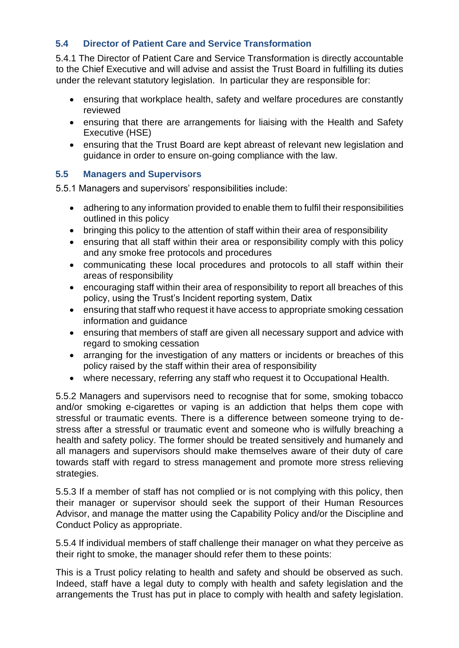## <span id="page-5-0"></span>**5.4 Director of Patient Care and Service Transformation**

5.4.1 The Director of Patient Care and Service Transformation is directly accountable to the Chief Executive and will advise and assist the Trust Board in fulfilling its duties under the relevant statutory legislation. In particular they are responsible for:

- ensuring that workplace health, safety and welfare procedures are constantly reviewed
- ensuring that there are arrangements for liaising with the Health and Safety Executive (HSE)
- ensuring that the Trust Board are kept abreast of relevant new legislation and guidance in order to ensure on-going compliance with the law.

#### <span id="page-5-1"></span>**5.5 Managers and Supervisors**

5.5.1 Managers and supervisors' responsibilities include:

- adhering to any information provided to enable them to fulfil their responsibilities outlined in this policy
- bringing this policy to the attention of staff within their area of responsibility
- ensuring that all staff within their area or responsibility comply with this policy and any smoke free protocols and procedures
- communicating these local procedures and protocols to all staff within their areas of responsibility
- encouraging staff within their area of responsibility to report all breaches of this policy, using the Trust's Incident reporting system, Datix
- ensuring that staff who request it have access to appropriate smoking cessation information and guidance
- ensuring that members of staff are given all necessary support and advice with regard to smoking cessation
- arranging for the investigation of any matters or incidents or breaches of this policy raised by the staff within their area of responsibility
- where necessary, referring any staff who request it to Occupational Health.

5.5.2 Managers and supervisors need to recognise that for some, smoking tobacco and/or smoking e-cigarettes or vaping is an addiction that helps them cope with stressful or traumatic events. There is a difference between someone trying to destress after a stressful or traumatic event and someone who is wilfully breaching a health and safety policy. The former should be treated sensitively and humanely and all managers and supervisors should make themselves aware of their duty of care towards staff with regard to stress management and promote more stress relieving strategies.

5.5.3 If a member of staff has not complied or is not complying with this policy, then their manager or supervisor should seek the support of their Human Resources Advisor, and manage the matter using the Capability Policy and/or the Discipline and Conduct Policy as appropriate.

5.5.4 If individual members of staff challenge their manager on what they perceive as their right to smoke, the manager should refer them to these points:

This is a Trust policy relating to health and safety and should be observed as such. Indeed, staff have a legal duty to comply with health and safety legislation and the arrangements the Trust has put in place to comply with health and safety legislation.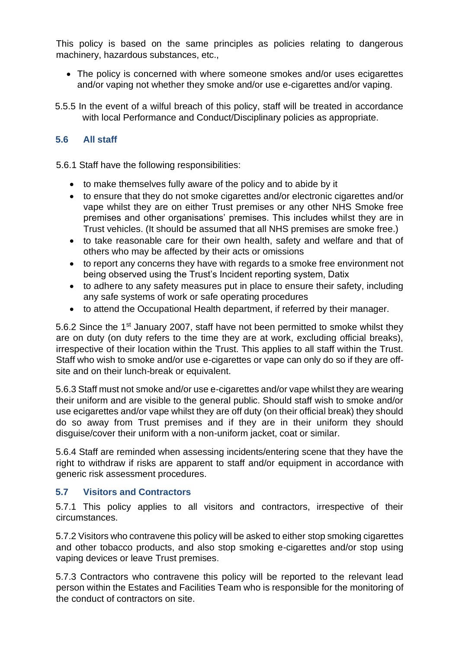This policy is based on the same principles as policies relating to dangerous machinery, hazardous substances, etc.,

- The policy is concerned with where someone smokes and/or uses ecigarettes and/or vaping not whether they smoke and/or use e-cigarettes and/or vaping.
- 5.5.5 In the event of a wilful breach of this policy, staff will be treated in accordance with local Performance and Conduct/Disciplinary policies as appropriate.

#### <span id="page-6-0"></span>**5.6 All staff**

5.6.1 Staff have the following responsibilities:

- to make themselves fully aware of the policy and to abide by it
- to ensure that they do not smoke cigarettes and/or electronic cigarettes and/or vape whilst they are on either Trust premises or any other NHS Smoke free premises and other organisations' premises. This includes whilst they are in Trust vehicles. (It should be assumed that all NHS premises are smoke free.)
- to take reasonable care for their own health, safety and welfare and that of others who may be affected by their acts or omissions
- to report any concerns they have with regards to a smoke free environment not being observed using the Trust's Incident reporting system, Datix
- to adhere to any safety measures put in place to ensure their safety, including any safe systems of work or safe operating procedures
- to attend the Occupational Health department, if referred by their manager.

5.6.2 Since the 1st January 2007, staff have not been permitted to smoke whilst they are on duty (on duty refers to the time they are at work, excluding official breaks), irrespective of their location within the Trust. This applies to all staff within the Trust. Staff who wish to smoke and/or use e-cigarettes or vape can only do so if they are offsite and on their lunch-break or equivalent.

5.6.3 Staff must not smoke and/or use e-cigarettes and/or vape whilst they are wearing their uniform and are visible to the general public. Should staff wish to smoke and/or use ecigarettes and/or vape whilst they are off duty (on their official break) they should do so away from Trust premises and if they are in their uniform they should disguise/cover their uniform with a non-uniform jacket, coat or similar.

5.6.4 Staff are reminded when assessing incidents/entering scene that they have the right to withdraw if risks are apparent to staff and/or equipment in accordance with generic risk assessment procedures.

#### <span id="page-6-1"></span>**5.7 Visitors and Contractors**

5.7.1 This policy applies to all visitors and contractors, irrespective of their circumstances.

5.7.2 Visitors who contravene this policy will be asked to either stop smoking cigarettes and other tobacco products, and also stop smoking e-cigarettes and/or stop using vaping devices or leave Trust premises.

5.7.3 Contractors who contravene this policy will be reported to the relevant lead person within the Estates and Facilities Team who is responsible for the monitoring of the conduct of contractors on site.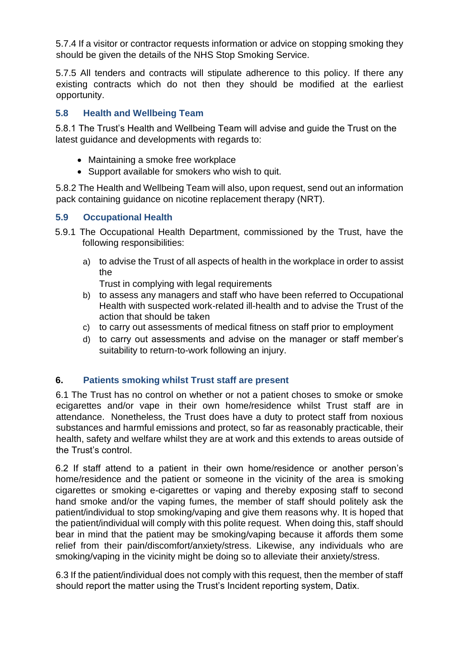5.7.4 If a visitor or contractor requests information or advice on stopping smoking they should be given the details of the NHS Stop Smoking Service.

5.7.5 All tenders and contracts will stipulate adherence to this policy. If there any existing contracts which do not then they should be modified at the earliest opportunity.

# <span id="page-7-0"></span>**5.8 Health and Wellbeing Team**

5.8.1 The Trust's Health and Wellbeing Team will advise and guide the Trust on the latest guidance and developments with regards to:

- Maintaining a smoke free workplace
- Support available for smokers who wish to quit.

5.8.2 The Health and Wellbeing Team will also, upon request, send out an information pack containing guidance on nicotine replacement therapy (NRT).

#### <span id="page-7-1"></span>**5.9 Occupational Health**

- 5.9.1 The Occupational Health Department, commissioned by the Trust, have the following responsibilities:
	- a) to advise the Trust of all aspects of health in the workplace in order to assist the

Trust in complying with legal requirements

- b) to assess any managers and staff who have been referred to Occupational Health with suspected work-related ill-health and to advise the Trust of the action that should be taken
- c) to carry out assessments of medical fitness on staff prior to employment
- d) to carry out assessments and advise on the manager or staff member's suitability to return-to-work following an injury.

#### <span id="page-7-2"></span>**6. Patients smoking whilst Trust staff are present**

6.1 The Trust has no control on whether or not a patient choses to smoke or smoke ecigarettes and/or vape in their own home/residence whilst Trust staff are in attendance. Nonetheless, the Trust does have a duty to protect staff from noxious substances and harmful emissions and protect, so far as reasonably practicable, their health, safety and welfare whilst they are at work and this extends to areas outside of the Trust's control.

6.2 If staff attend to a patient in their own home/residence or another person's home/residence and the patient or someone in the vicinity of the area is smoking cigarettes or smoking e-cigarettes or vaping and thereby exposing staff to second hand smoke and/or the vaping fumes, the member of staff should politely ask the patient/individual to stop smoking/vaping and give them reasons why. It is hoped that the patient/individual will comply with this polite request. When doing this, staff should bear in mind that the patient may be smoking/vaping because it affords them some relief from their pain/discomfort/anxiety/stress. Likewise, any individuals who are smoking/vaping in the vicinity might be doing so to alleviate their anxiety/stress.

6.3 If the patient/individual does not comply with this request, then the member of staff should report the matter using the Trust's Incident reporting system, Datix.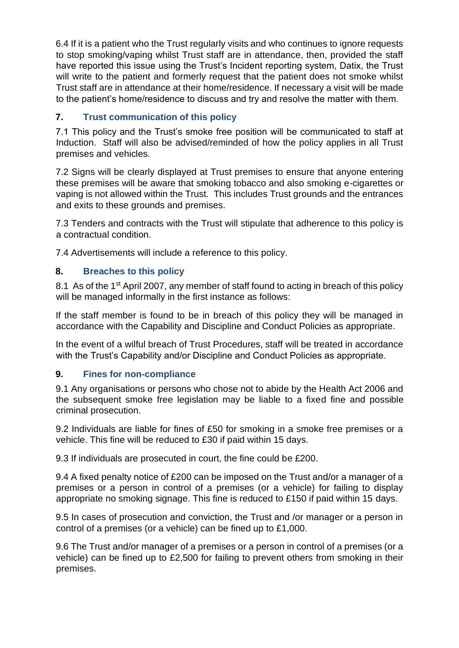6.4 If it is a patient who the Trust regularly visits and who continues to ignore requests to stop smoking/vaping whilst Trust staff are in attendance, then, provided the staff have reported this issue using the Trust's Incident reporting system, Datix, the Trust will write to the patient and formerly request that the patient does not smoke whilst Trust staff are in attendance at their home/residence. If necessary a visit will be made to the patient's home/residence to discuss and try and resolve the matter with them.

# <span id="page-8-0"></span>**7. Trust communication of this policy**

7.1 This policy and the Trust's smoke free position will be communicated to staff at Induction. Staff will also be advised/reminded of how the policy applies in all Trust premises and vehicles.

7.2 Signs will be clearly displayed at Trust premises to ensure that anyone entering these premises will be aware that smoking tobacco and also smoking e-cigarettes or vaping is not allowed within the Trust. This includes Trust grounds and the entrances and exits to these grounds and premises.

7.3 Tenders and contracts with the Trust will stipulate that adherence to this policy is a contractual condition.

7.4 Advertisements will include a reference to this policy.

# <span id="page-8-1"></span>**8. Breaches to this policy**

8.1 As of the 1<sup>st</sup> April 2007, any member of staff found to acting in breach of this policy will be managed informally in the first instance as follows:

If the staff member is found to be in breach of this policy they will be managed in accordance with the Capability and Discipline and Conduct Policies as appropriate.

In the event of a wilful breach of Trust Procedures, staff will be treated in accordance with the Trust's Capability and/or Discipline and Conduct Policies as appropriate.

# <span id="page-8-2"></span>**9. Fines for non-compliance**

9.1 Any organisations or persons who chose not to abide by the Health Act 2006 and the subsequent smoke free legislation may be liable to a fixed fine and possible criminal prosecution.

9.2 Individuals are liable for fines of £50 for smoking in a smoke free premises or a vehicle. This fine will be reduced to £30 if paid within 15 days.

9.3 If individuals are prosecuted in court, the fine could be £200.

9.4 A fixed penalty notice of £200 can be imposed on the Trust and/or a manager of a premises or a person in control of a premises (or a vehicle) for failing to display appropriate no smoking signage. This fine is reduced to £150 if paid within 15 days.

9.5 In cases of prosecution and conviction, the Trust and /or manager or a person in control of a premises (or a vehicle) can be fined up to £1,000.

9.6 The Trust and/or manager of a premises or a person in control of a premises (or a vehicle) can be fined up to £2,500 for failing to prevent others from smoking in their premises.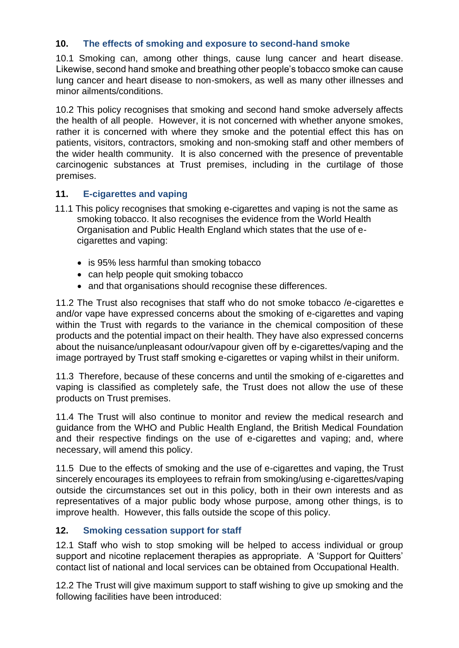## <span id="page-9-0"></span>**10. The effects of smoking and exposure to second-hand smoke**

10.1 Smoking can, among other things, cause lung cancer and heart disease. Likewise, second hand smoke and breathing other people's tobacco smoke can cause lung cancer and heart disease to non-smokers, as well as many other illnesses and minor ailments/conditions.

10.2 This policy recognises that smoking and second hand smoke adversely affects the health of all people. However, it is not concerned with whether anyone smokes, rather it is concerned with where they smoke and the potential effect this has on patients, visitors, contractors, smoking and non-smoking staff and other members of the wider health community. It is also concerned with the presence of preventable carcinogenic substances at Trust premises, including in the curtilage of those premises.

#### <span id="page-9-1"></span>**11. E-cigarettes and vaping**

- 11.1 This policy recognises that smoking e-cigarettes and vaping is not the same as smoking tobacco. It also recognises the evidence from the World Health Organisation and Public Health England which states that the use of ecigarettes and vaping:
	- is 95% less harmful than smoking tobacco
	- can help people quit smoking tobacco
	- and that organisations should recognise these differences.

11.2 The Trust also recognises that staff who do not smoke tobacco /e-cigarettes e and/or vape have expressed concerns about the smoking of e-cigarettes and vaping within the Trust with regards to the variance in the chemical composition of these products and the potential impact on their health. They have also expressed concerns about the nuisance/unpleasant odour/vapour given off by e-cigarettes/vaping and the image portrayed by Trust staff smoking e-cigarettes or vaping whilst in their uniform.

11.3 Therefore, because of these concerns and until the smoking of e-cigarettes and vaping is classified as completely safe, the Trust does not allow the use of these products on Trust premises.

11.4 The Trust will also continue to monitor and review the medical research and guidance from the WHO and Public Health England, the British Medical Foundation and their respective findings on the use of e-cigarettes and vaping; and, where necessary, will amend this policy.

11.5 Due to the effects of smoking and the use of e-cigarettes and vaping, the Trust sincerely encourages its employees to refrain from smoking/using e-cigarettes/vaping outside the circumstances set out in this policy, both in their own interests and as representatives of a major public body whose purpose, among other things, is to improve health. However, this falls outside the scope of this policy.

#### <span id="page-9-2"></span>**12. Smoking cessation support for staff**

12.1 Staff who wish to stop smoking will be helped to access individual or group support and nicotine replacement therapies as appropriate. A 'Support for Quitters' contact list of national and local services can be obtained from Occupational Health.

12.2 The Trust will give maximum support to staff wishing to give up smoking and the following facilities have been introduced: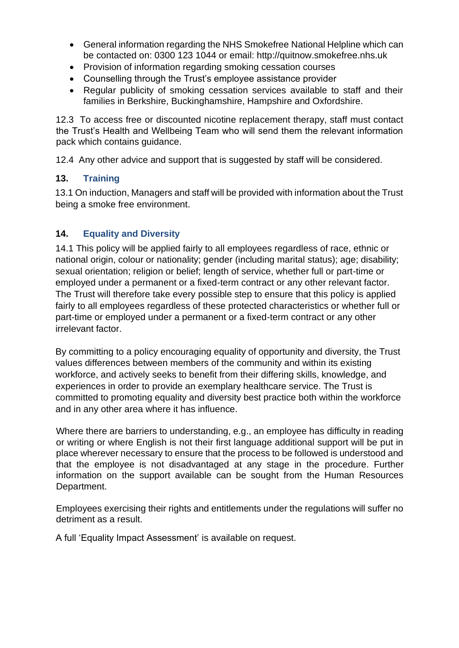- General information regarding the NHS Smokefree National Helpline which can be contacted on: 0300 123 1044 or email: http://quitnow.smokefree.nhs.uk
- Provision of information regarding smoking cessation courses
- Counselling through the Trust's employee assistance provider
- Regular publicity of smoking cessation services available to staff and their families in Berkshire, Buckinghamshire, Hampshire and Oxfordshire.

12.3 To access free or discounted nicotine replacement therapy, staff must contact the Trust's Health and Wellbeing Team who will send them the relevant information pack which contains guidance.

12.4 Any other advice and support that is suggested by staff will be considered.

#### <span id="page-10-0"></span>**13. Training**

13.1 On induction, Managers and staff will be provided with information about the Trust being a smoke free environment.

# <span id="page-10-1"></span>**14. Equality and Diversity**

14.1 This policy will be applied fairly to all employees regardless of race, ethnic or national origin, colour or nationality; gender (including marital status); age; disability; sexual orientation; religion or belief; length of service, whether full or part-time or employed under a permanent or a fixed-term contract or any other relevant factor. The Trust will therefore take every possible step to ensure that this policy is applied fairly to all employees regardless of these protected characteristics or whether full or part-time or employed under a permanent or a fixed-term contract or any other irrelevant factor.

By committing to a policy encouraging equality of opportunity and diversity, the Trust values differences between members of the community and within its existing workforce, and actively seeks to benefit from their differing skills, knowledge, and experiences in order to provide an exemplary healthcare service. The Trust is committed to promoting equality and diversity best practice both within the workforce and in any other area where it has influence.

Where there are barriers to understanding, e.g., an employee has difficulty in reading or writing or where English is not their first language additional support will be put in place wherever necessary to ensure that the process to be followed is understood and that the employee is not disadvantaged at any stage in the procedure. Further information on the support available can be sought from the Human Resources Department.

Employees exercising their rights and entitlements under the regulations will suffer no detriment as a result.

A full 'Equality Impact Assessment' is available on request.